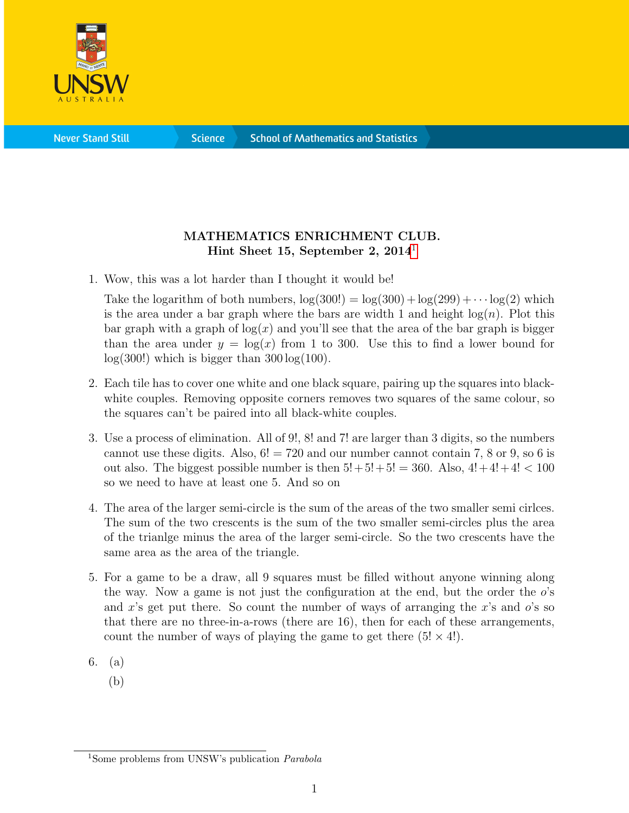

**Science** 

## MATHEMATICS ENRICHMENT CLUB. Hint Sheet [1](#page-0-0)5, September 2,  $2014<sup>1</sup>$

1. Wow, this was a lot harder than I thought it would be!

Take the logarithm of both numbers,  $log(300!) = log(300) + log(299) + \cdots log(2)$  which is the area under a bar graph where the bars are width 1 and height  $log(n)$ . Plot this bar graph with a graph of  $log(x)$  and you'll see that the area of the bar graph is bigger than the area under  $y = \log(x)$  from 1 to 300. Use this to find a lower bound for  $log(300!)$  which is bigger than  $300 log(100)$ .

- 2. Each tile has to cover one white and one black square, pairing up the squares into blackwhite couples. Removing opposite corners removes two squares of the same colour, so the squares can't be paired into all black-white couples.
- 3. Use a process of elimination. All of 9!, 8! and 7! are larger than 3 digits, so the numbers cannot use these digits. Also,  $6! = 720$  and our number cannot contain 7, 8 or 9, so 6 is out also. The biggest possible number is then  $5!+5!+5! = 360$ . Also,  $4!+4!+4! < 100$ so we need to have at least one 5. And so on
- 4. The area of the larger semi-circle is the sum of the areas of the two smaller semi cirlces. The sum of the two crescents is the sum of the two smaller semi-circles plus the area of the trianlge minus the area of the larger semi-circle. So the two crescents have the same area as the area of the triangle.
- 5. For a game to be a draw, all 9 squares must be filled without anyone winning along the way. Now a game is not just the configuration at the end, but the order the  $o$ 's and x's get put there. So count the number of ways of arranging the x's and  $o$ 's so that there are no three-in-a-rows (there are 16), then for each of these arrangements, count the number of ways of playing the game to get there  $(5! \times 4!)$ .
- 6. (a)
	- (b)

<span id="page-0-0"></span><sup>&</sup>lt;sup>1</sup>Some problems from UNSW's publication *Parabola*